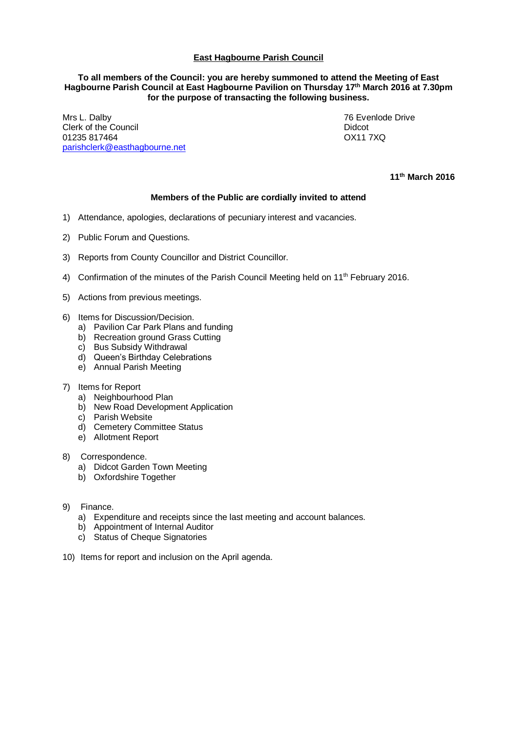## **East Hagbourne Parish Council**

## **To all members of the Council: you are hereby summoned to attend the Meeting of East Hagbourne Parish Council at East Hagbourne Pavilion on Thursday 17 th March 2016 at 7.30pm for the purpose of transacting the following business.**

Mrs L. Dalby **76 Evenlode Drive** Clerk of the Council and the Council and the Council and the Council and the Didcot of Didcot and Didcot of Didcot of Didcot and Didcot of Didcot of Didcot and Didcot of Didcot of Didcot and Didcot of Didcot of Didcot and 01235 817464 [parishclerk@easthagbourne.net](mailto:parishclerk@easthagbourne.net)

**11th March 2016**

## **Members of the Public are cordially invited to attend**

- 1) Attendance, apologies, declarations of pecuniary interest and vacancies.
- 2) Public Forum and Questions.
- 3) Reports from County Councillor and District Councillor.
- 4) Confirmation of the minutes of the Parish Council Meeting held on 11th February 2016.
- 5) Actions from previous meetings.
- 6) Items for Discussion/Decision.
	- a) Pavilion Car Park Plans and funding
	- b) Recreation ground Grass Cutting
	- c) Bus Subsidy Withdrawal
	- d) Queen's Birthday Celebrations
	- e) Annual Parish Meeting
- 7) Items for Report
	- a) Neighbourhood Plan
	- b) New Road Development Application
	- c) Parish Website
	- d) Cemetery Committee Status
	- e) Allotment Report
- 8) Correspondence.
	- a) Didcot Garden Town Meeting
	- b) Oxfordshire Together
- 9) Finance.
	- a) Expenditure and receipts since the last meeting and account balances.
	- b) Appointment of Internal Auditor
	- c) Status of Cheque Signatories
- 10) Items for report and inclusion on the April agenda.